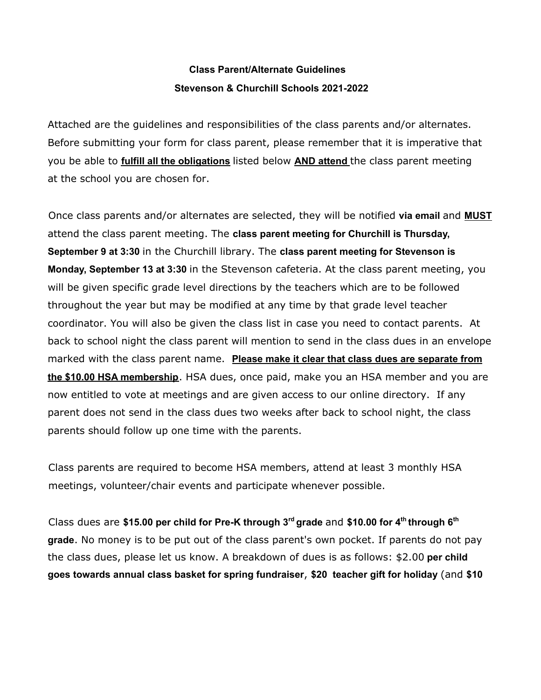# **Class Parent/Alternate Guidelines Stevenson & Churchill Schools 2021-2022**

Attached are the guidelines and responsibilities of the class parents and/or alternates. Before submitting your form for class parent, please remember that it is imperative that you be able to **fulfill all the obligations** listed below **AND attend** the class parent meeting at the school you are chosen for.

Once class parents and/or alternates are selected, they will be notified **via email** and **MUST** attend the class parent meeting. The **class parent meeting for Churchill is Thursday, September 9 at 3:30** in the Churchill library. The **class parent meeting for Stevenson is Monday, September 13 at 3:30** in the Stevenson cafeteria. At the class parent meeting, you will be given specific grade level directions by the teachers which are to be followed throughout the year but may be modified at any time by that grade level teacher coordinator. You will also be given the class list in case you need to contact parents. At back to school night the class parent will mention to send in the class dues in an envelope marked with the class parent name. **Please make it clear that class dues are separate from the \$10.00 HSA membership**. HSA dues, once paid, make you an HSA member and you are now entitled to vote at meetings and are given access to our online directory. If any parent does not send in the class dues two weeks after back to school night, the class parents should follow up one time with the parents.

Class parents are required to become HSA members, attend at least 3 monthly HSA meetings, volunteer/chair events and participate whenever possible.

Class dues are **\$15.00 per child for Pre-K through 3 rd grade** and **\$10.00 for 4 th through 6 th grade**. No money is to be put out of the class parent's own pocket. If parents do not pay the class dues, please let us know. A breakdown of dues is as follows: \$2.00 **per child goes towards annual class basket for spring fundraiser**, **\$20 teacher gift for holiday** (and **\$10**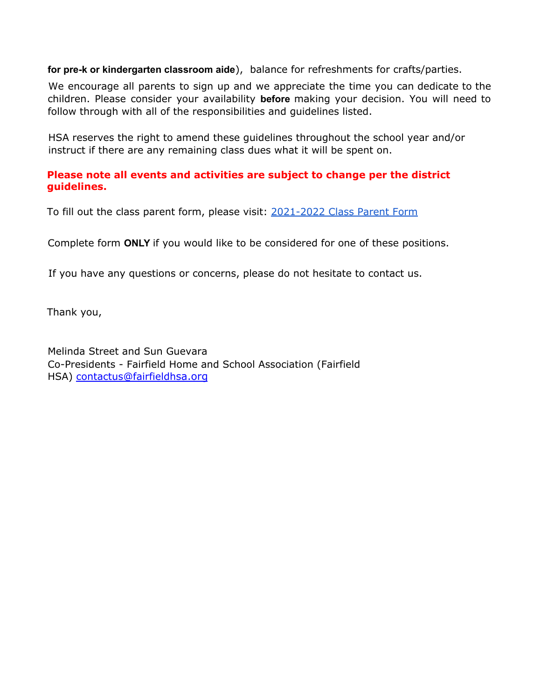**for pre-k or kindergarten classroom aide**), balance for refreshments for crafts/parties.

We encourage all parents to sign up and we appreciate the time you can dedicate to the children. Please consider your availability **before** making your decision. You will need to follow through with all of the responsibilities and guidelines listed.

HSA reserves the right to amend these guidelines throughout the school year and/or instruct if there are any remaining class dues what it will be spent on.

### **Please note all events and activities are subject to change per the district guidelines.**

To fill out the class parent form, please visit: [2021-2022](https://docs.google.com/forms/d/155-Uw8-IVMAc2O6ajDeZQG4d3X1uKMR3ENMC6dm1fMg/edit) Class Parent Form

Complete form **ONLY** if you would like to be considered for one of these positions.

If you have any questions or concerns, please do not hesitate to contact us.

Thank you,

Melinda Street and Sun Guevara Co-Presidents - Fairfield Home and School Association (Fairfield HSA) contactus@fairfieldhsa.org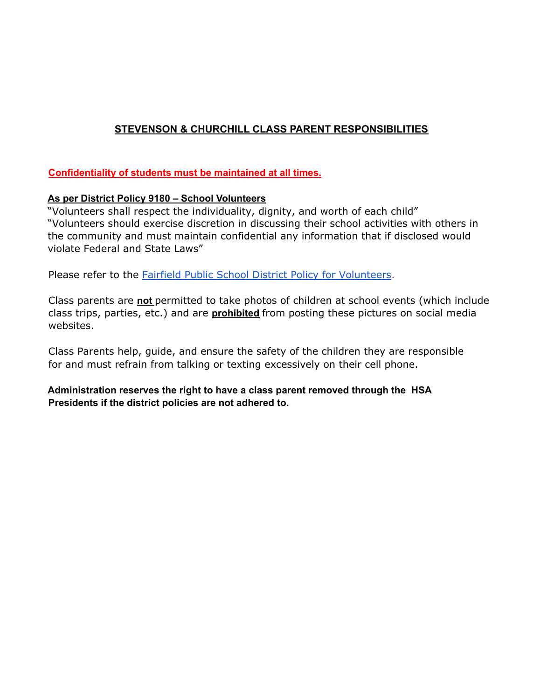# **STEVENSON & CHURCHILL CLASS PARENT RESPONSIBILITIES**

#### **Confidentiality of students must be maintained at all times.**

#### **As per District Policy 9180 – School Volunteers**

"Volunteers shall respect the individuality, dignity, and worth of each child" "Volunteers should exercise discretion in discussing their school activities with others in the community and must maintain confidential any information that if disclosed would violate Federal and State Laws"

Please refer to the **Fairfield Public School District Policy for [Volunteers](https://www.straussesmay.com/seportal/Public/DistrictPolicy.aspx?policyid=9180&id=6ae2f5321cd841589cf384a72e62f248)**.

Class parents are **not** permitted to take photos of children at school events (which include class trips, parties, etc.) and are **prohibited** from posting these pictures on social media websites.

Class Parents help, guide, and ensure the safety of the children they are responsible for and must refrain from talking or texting excessively on their cell phone.

**Administration reserves the right to have a class parent removed through the HSA Presidents if the district policies are not adhered to.**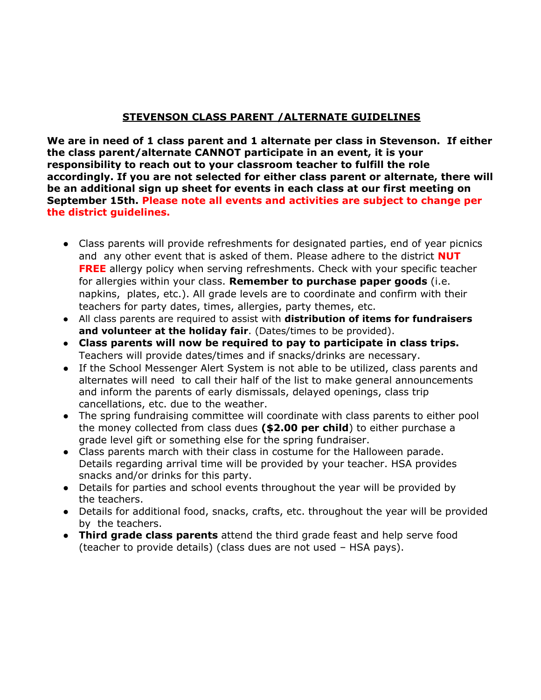## **STEVENSON CLASS PARENT /ALTERNATE GUIDELINES**

**We are in need of 1 class parent and 1 alternate per class in Stevenson. If either the class parent/alternate CANNOT participate in an event, it is your responsibility to reach out to your classroom teacher to fulfill the role accordingly. If you are not selected for either class parent or alternate, there will be an additional sign up sheet for events in each class at our first meeting on September 15th. Please note all events and activities are subject to change per the district guidelines.**

- Class parents will provide refreshments for designated parties, end of year picnics and any other event that is asked of them. Please adhere to the district **NUT FREE** allergy policy when serving refreshments. Check with your specific teacher for allergies within your class. **Remember to purchase paper goods** (i.e. napkins, plates, etc.). All grade levels are to coordinate and confirm with their teachers for party dates, times, allergies, party themes, etc.
- All class parents are required to assist with **distribution of items for fundraisers and volunteer at the holiday fair**. (Dates/times to be provided).
- **Class parents will now be required to pay to participate in class trips.** Teachers will provide dates/times and if snacks/drinks are necessary.
- If the School Messenger Alert System is not able to be utilized, class parents and alternates will need to call their half of the list to make general announcements and inform the parents of early dismissals, delayed openings, class trip cancellations, etc. due to the weather.
- The spring fundraising committee will coordinate with class parents to either pool the money collected from class dues **(\$2.00 per child**) to either purchase a grade level gift or something else for the spring fundraiser.
- Class parents march with their class in costume for the Halloween parade. Details regarding arrival time will be provided by your teacher. HSA provides snacks and/or drinks for this party.
- Details for parties and school events throughout the year will be provided by the teachers.
- Details for additional food, snacks, crafts, etc. throughout the year will be provided by the teachers.
- **Third grade class parents** attend the third grade feast and help serve food (teacher to provide details) (class dues are not used – HSA pays).